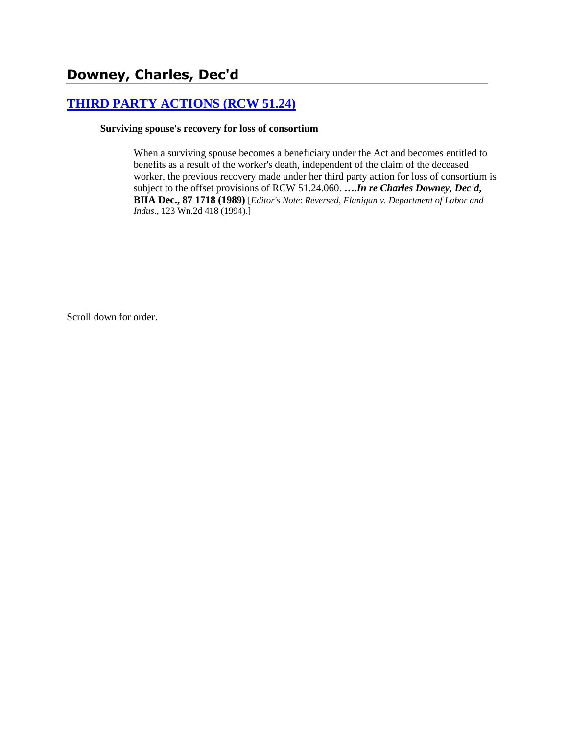# **[THIRD PARTY ACTIONS \(RCW 51.24\)](http://www.biia.wa.gov/SDSubjectIndex.html#THIRD_PARTY_ACTIONS)**

#### **Surviving spouse's recovery for loss of consortium**

When a surviving spouse becomes a beneficiary under the Act and becomes entitled to benefits as a result of the worker's death, independent of the claim of the deceased worker, the previous recovery made under her third party action for loss of consortium is subject to the offset provisions of RCW 51.24.060. **….***In re Charles Downey, Dec'd***, BIIA Dec., 87 1718 (1989)** [*Editor's Note*: *Reversed, Flanigan v. Department of Labor and Indus*., 123 Wn.2d 418 (1994).]

Scroll down for order.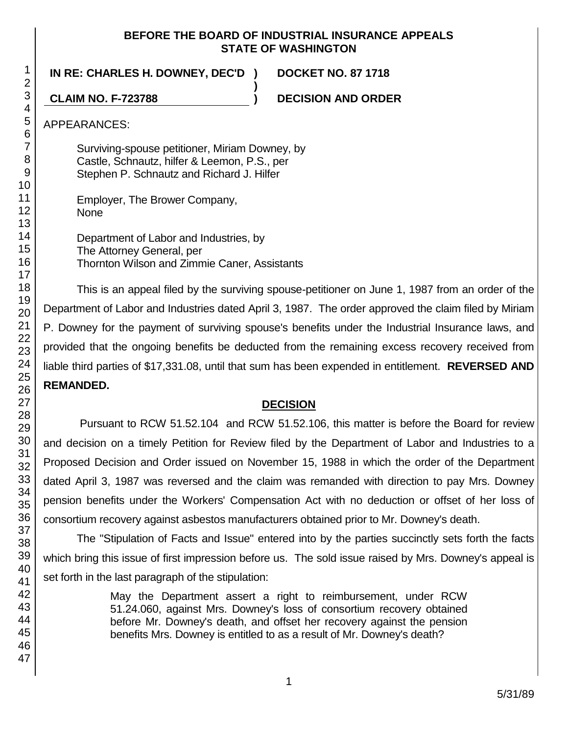#### **BEFORE THE BOARD OF INDUSTRIAL INSURANCE APPEALS STATE OF WASHINGTON**

**)**

**IN RE: CHARLES H. DOWNEY, DEC'D ) DOCKET NO. 87 1718**

**CLAIM NO. F-723788 ) DECISION AND ORDER**

APPEARANCES:

Surviving-spouse petitioner, Miriam Downey, by Castle, Schnautz, hilfer & Leemon, P.S., per Stephen P. Schnautz and Richard J. Hilfer

Employer, The Brower Company, **None** 

Department of Labor and Industries, by The Attorney General, per Thornton Wilson and Zimmie Caner, Assistants

This is an appeal filed by the surviving spouse-petitioner on June 1, 1987 from an order of the Department of Labor and Industries dated April 3, 1987. The order approved the claim filed by Miriam P. Downey for the payment of surviving spouse's benefits under the Industrial Insurance laws, and provided that the ongoing benefits be deducted from the remaining excess recovery received from liable third parties of \$17,331.08, until that sum has been expended in entitlement. **REVERSED AND REMANDED.**

# **DECISION**

Pursuant to RCW 51.52.104 and RCW 51.52.106, this matter is before the Board for review and decision on a timely Petition for Review filed by the Department of Labor and Industries to a Proposed Decision and Order issued on November 15, 1988 in which the order of the Department dated April 3, 1987 was reversed and the claim was remanded with direction to pay Mrs. Downey pension benefits under the Workers' Compensation Act with no deduction or offset of her loss of consortium recovery against asbestos manufacturers obtained prior to Mr. Downey's death.

The "Stipulation of Facts and Issue" entered into by the parties succinctly sets forth the facts which bring this issue of first impression before us. The sold issue raised by Mrs. Downey's appeal is set forth in the last paragraph of the stipulation:

> May the Department assert a right to reimbursement, under RCW 51.24.060, against Mrs. Downey's loss of consortium recovery obtained before Mr. Downey's death, and offset her recovery against the pension benefits Mrs. Downey is entitled to as a result of Mr. Downey's death?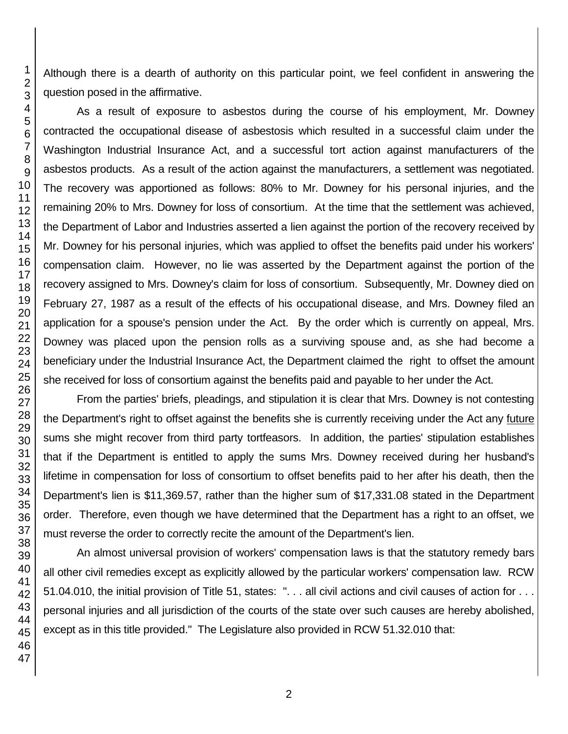Although there is a dearth of authority on this particular point, we feel confident in answering the question posed in the affirmative.

As a result of exposure to asbestos during the course of his employment, Mr. Downey contracted the occupational disease of asbestosis which resulted in a successful claim under the Washington Industrial Insurance Act, and a successful tort action against manufacturers of the asbestos products. As a result of the action against the manufacturers, a settlement was negotiated. The recovery was apportioned as follows: 80% to Mr. Downey for his personal injuries, and the remaining 20% to Mrs. Downey for loss of consortium. At the time that the settlement was achieved, the Department of Labor and Industries asserted a lien against the portion of the recovery received by Mr. Downey for his personal injuries, which was applied to offset the benefits paid under his workers' compensation claim. However, no lie was asserted by the Department against the portion of the recovery assigned to Mrs. Downey's claim for loss of consortium. Subsequently, Mr. Downey died on February 27, 1987 as a result of the effects of his occupational disease, and Mrs. Downey filed an application for a spouse's pension under the Act. By the order which is currently on appeal, Mrs. Downey was placed upon the pension rolls as a surviving spouse and, as she had become a beneficiary under the Industrial Insurance Act, the Department claimed the right to offset the amount she received for loss of consortium against the benefits paid and payable to her under the Act.

From the parties' briefs, pleadings, and stipulation it is clear that Mrs. Downey is not contesting the Department's right to offset against the benefits she is currently receiving under the Act any future sums she might recover from third party tortfeasors. In addition, the parties' stipulation establishes that if the Department is entitled to apply the sums Mrs. Downey received during her husband's lifetime in compensation for loss of consortium to offset benefits paid to her after his death, then the Department's lien is \$11,369.57, rather than the higher sum of \$17,331.08 stated in the Department order. Therefore, even though we have determined that the Department has a right to an offset, we must reverse the order to correctly recite the amount of the Department's lien.

An almost universal provision of workers' compensation laws is that the statutory remedy bars all other civil remedies except as explicitly allowed by the particular workers' compensation law. RCW 51.04.010, the initial provision of Title 51, states: ". . . all civil actions and civil causes of action for . . . personal injuries and all jurisdiction of the courts of the state over such causes are hereby abolished, except as in this title provided." The Legislature also provided in RCW 51.32.010 that: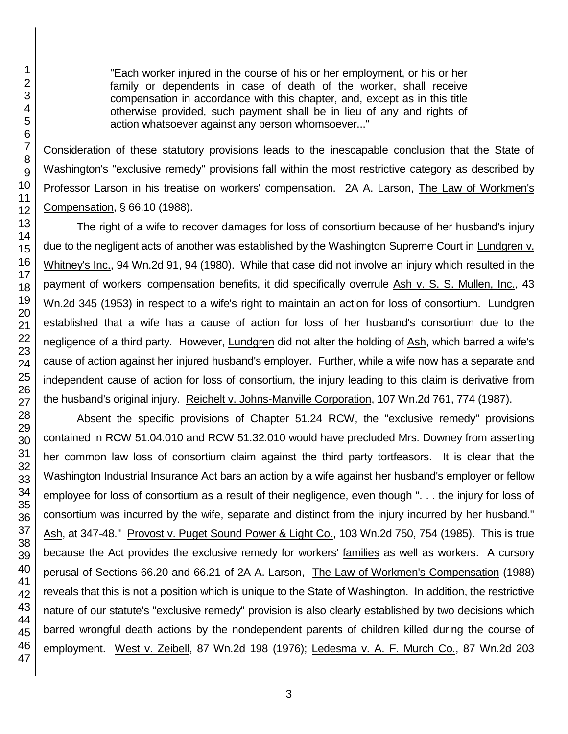"Each worker injured in the course of his or her employment, or his or her family or dependents in case of death of the worker, shall receive compensation in accordance with this chapter, and, except as in this title otherwise provided, such payment shall be in lieu of any and rights of action whatsoever against any person whomsoever..."

Consideration of these statutory provisions leads to the inescapable conclusion that the State of Washington's "exclusive remedy" provisions fall within the most restrictive category as described by Professor Larson in his treatise on workers' compensation. 2A A. Larson, The Law of Workmen's Compensation, § 66.10 (1988).

The right of a wife to recover damages for loss of consortium because of her husband's injury due to the negligent acts of another was established by the Washington Supreme Court in Lundgren v. Whitney's Inc., 94 Wn.2d 91, 94 (1980). While that case did not involve an injury which resulted in the payment of workers' compensation benefits, it did specifically overrule Ash v. S. S. Mullen, Inc., 43 Wn.2d 345 (1953) in respect to a wife's right to maintain an action for loss of consortium. Lundgren established that a wife has a cause of action for loss of her husband's consortium due to the negligence of a third party. However, Lundgren did not alter the holding of Ash, which barred a wife's cause of action against her injured husband's employer. Further, while a wife now has a separate and independent cause of action for loss of consortium, the injury leading to this claim is derivative from the husband's original injury. Reichelt v. Johns-Manville Corporation, 107 Wn.2d 761, 774 (1987).

Absent the specific provisions of Chapter 51.24 RCW, the "exclusive remedy" provisions contained in RCW 51.04.010 and RCW 51.32.010 would have precluded Mrs. Downey from asserting her common law loss of consortium claim against the third party tortfeasors. It is clear that the Washington Industrial Insurance Act bars an action by a wife against her husband's employer or fellow employee for loss of consortium as a result of their negligence, even though ". . . the injury for loss of consortium was incurred by the wife, separate and distinct from the injury incurred by her husband." Ash, at 347-48." Provost v. Puget Sound Power & Light Co., 103 Wn.2d 750, 754 (1985). This is true because the Act provides the exclusive remedy for workers' families as well as workers. A cursory perusal of Sections 66.20 and 66.21 of 2A A. Larson, The Law of Workmen's Compensation (1988) reveals that this is not a position which is unique to the State of Washington. In addition, the restrictive nature of our statute's "exclusive remedy" provision is also clearly established by two decisions which barred wrongful death actions by the nondependent parents of children killed during the course of employment. West v. Zeibell, 87 Wn.2d 198 (1976); Ledesma v. A. F. Murch Co., 87 Wn.2d 203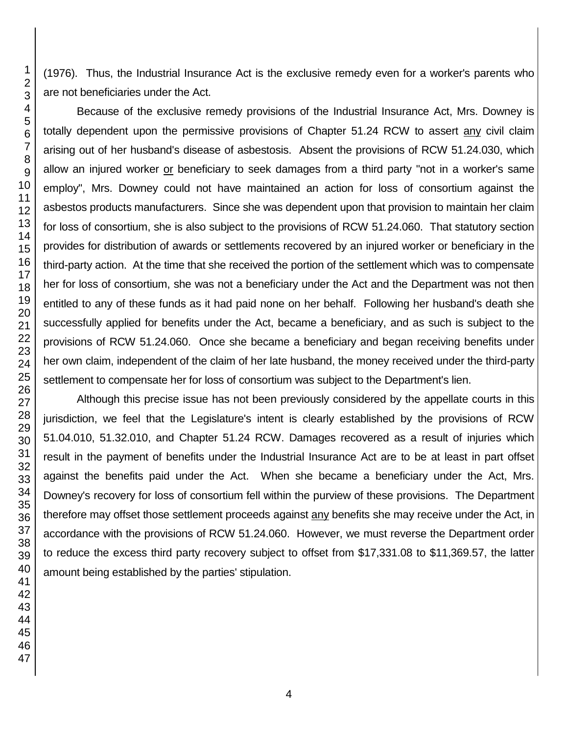(1976). Thus, the Industrial Insurance Act is the exclusive remedy even for a worker's parents who are not beneficiaries under the Act.

Because of the exclusive remedy provisions of the Industrial Insurance Act, Mrs. Downey is totally dependent upon the permissive provisions of Chapter 51.24 RCW to assert any civil claim arising out of her husband's disease of asbestosis. Absent the provisions of RCW 51.24.030, which allow an injured worker or beneficiary to seek damages from a third party "not in a worker's same employ", Mrs. Downey could not have maintained an action for loss of consortium against the asbestos products manufacturers. Since she was dependent upon that provision to maintain her claim for loss of consortium, she is also subject to the provisions of RCW 51.24.060. That statutory section provides for distribution of awards or settlements recovered by an injured worker or beneficiary in the third-party action. At the time that she received the portion of the settlement which was to compensate her for loss of consortium, she was not a beneficiary under the Act and the Department was not then entitled to any of these funds as it had paid none on her behalf. Following her husband's death she successfully applied for benefits under the Act, became a beneficiary, and as such is subject to the provisions of RCW 51.24.060. Once she became a beneficiary and began receiving benefits under her own claim, independent of the claim of her late husband, the money received under the third-party settlement to compensate her for loss of consortium was subject to the Department's lien.

Although this precise issue has not been previously considered by the appellate courts in this jurisdiction, we feel that the Legislature's intent is clearly established by the provisions of RCW 51.04.010, 51.32.010, and Chapter 51.24 RCW. Damages recovered as a result of injuries which result in the payment of benefits under the Industrial Insurance Act are to be at least in part offset against the benefits paid under the Act. When she became a beneficiary under the Act, Mrs. Downey's recovery for loss of consortium fell within the purview of these provisions. The Department therefore may offset those settlement proceeds against any benefits she may receive under the Act, in accordance with the provisions of RCW 51.24.060. However, we must reverse the Department order to reduce the excess third party recovery subject to offset from \$17,331.08 to \$11,369.57, the latter amount being established by the parties' stipulation.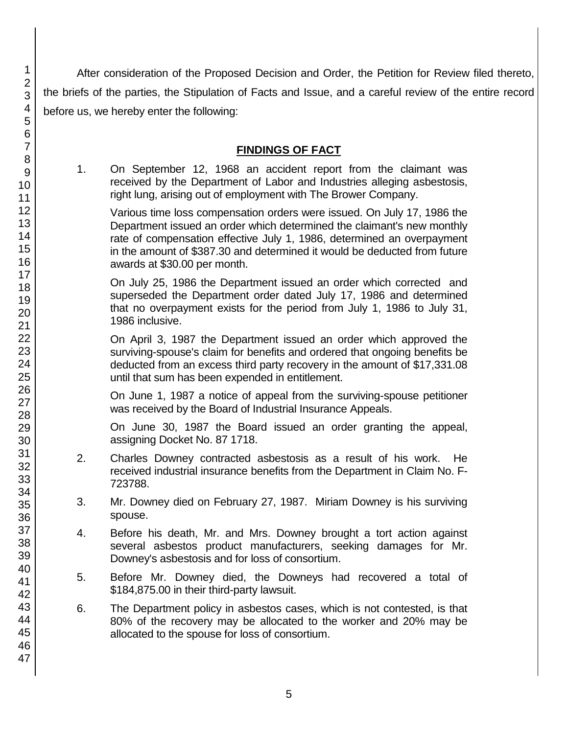After consideration of the Proposed Decision and Order, the Petition for Review filed thereto, the briefs of the parties, the Stipulation of Facts and Issue, and a careful review of the entire record before us, we hereby enter the following:

## **FINDINGS OF FACT**

1. On September 12, 1968 an accident report from the claimant was received by the Department of Labor and Industries alleging asbestosis, right lung, arising out of employment with The Brower Company.

Various time loss compensation orders were issued. On July 17, 1986 the Department issued an order which determined the claimant's new monthly rate of compensation effective July 1, 1986, determined an overpayment in the amount of \$387.30 and determined it would be deducted from future awards at \$30.00 per month.

On July 25, 1986 the Department issued an order which corrected and superseded the Department order dated July 17, 1986 and determined that no overpayment exists for the period from July 1, 1986 to July 31, 1986 inclusive.

On April 3, 1987 the Department issued an order which approved the surviving-spouse's claim for benefits and ordered that ongoing benefits be deducted from an excess third party recovery in the amount of \$17,331.08 until that sum has been expended in entitlement.

On June 1, 1987 a notice of appeal from the surviving-spouse petitioner was received by the Board of Industrial Insurance Appeals.

On June 30, 1987 the Board issued an order granting the appeal, assigning Docket No. 87 1718.

- 2. Charles Downey contracted asbestosis as a result of his work. He received industrial insurance benefits from the Department in Claim No. F-723788.
- 3. Mr. Downey died on February 27, 1987. Miriam Downey is his surviving spouse.
- 4. Before his death, Mr. and Mrs. Downey brought a tort action against several asbestos product manufacturers, seeking damages for Mr. Downey's asbestosis and for loss of consortium.
- 5. Before Mr. Downey died, the Downeys had recovered a total of \$184,875.00 in their third-party lawsuit.
- 6. The Department policy in asbestos cases, which is not contested, is that 80% of the recovery may be allocated to the worker and 20% may be allocated to the spouse for loss of consortium.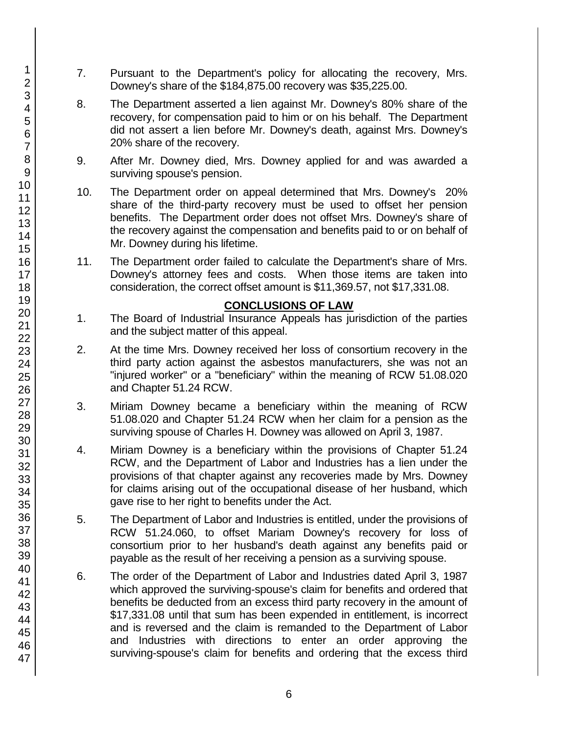- 7. Pursuant to the Department's policy for allocating the recovery, Mrs. Downey's share of the \$184,875.00 recovery was \$35,225.00.
- 8. The Department asserted a lien against Mr. Downey's 80% share of the recovery, for compensation paid to him or on his behalf. The Department did not assert a lien before Mr. Downey's death, against Mrs. Downey's 20% share of the recovery.
- 9. After Mr. Downey died, Mrs. Downey applied for and was awarded a surviving spouse's pension.
- 10. The Department order on appeal determined that Mrs. Downey's 20% share of the third-party recovery must be used to offset her pension benefits. The Department order does not offset Mrs. Downey's share of the recovery against the compensation and benefits paid to or on behalf of Mr. Downey during his lifetime.
- 11. The Department order failed to calculate the Department's share of Mrs. Downey's attorney fees and costs. When those items are taken into consideration, the correct offset amount is \$11,369.57, not \$17,331.08.

## **CONCLUSIONS OF LAW**

- 1. The Board of Industrial Insurance Appeals has jurisdiction of the parties and the subject matter of this appeal.
- 2. At the time Mrs. Downey received her loss of consortium recovery in the third party action against the asbestos manufacturers, she was not an "injured worker" or a "beneficiary" within the meaning of RCW 51.08.020 and Chapter 51.24 RCW.
- 3. Miriam Downey became a beneficiary within the meaning of RCW 51.08.020 and Chapter 51.24 RCW when her claim for a pension as the surviving spouse of Charles H. Downey was allowed on April 3, 1987.
- 4. Miriam Downey is a beneficiary within the provisions of Chapter 51.24 RCW, and the Department of Labor and Industries has a lien under the provisions of that chapter against any recoveries made by Mrs. Downey for claims arising out of the occupational disease of her husband, which gave rise to her right to benefits under the Act.
- 5. The Department of Labor and Industries is entitled, under the provisions of RCW 51.24.060, to offset Mariam Downey's recovery for loss of consortium prior to her husband's death against any benefits paid or payable as the result of her receiving a pension as a surviving spouse.
- 6. The order of the Department of Labor and Industries dated April 3, 1987 which approved the surviving-spouse's claim for benefits and ordered that benefits be deducted from an excess third party recovery in the amount of \$17,331.08 until that sum has been expended in entitlement, is incorrect and is reversed and the claim is remanded to the Department of Labor and Industries with directions to enter an order approving the surviving-spouse's claim for benefits and ordering that the excess third